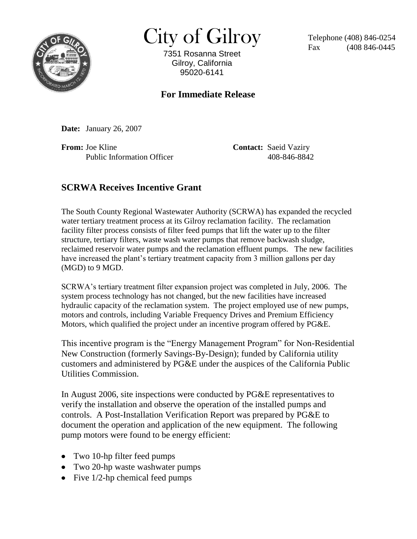

 $City of Gilroy$  Telephone (408) 846-0254

7351 Rosanna Street Gilroy, California 95020-6141

(408 846-0445)

## **For Immediate Release**

**Date:** January 26, 2007

**From:** Joe Kline **Contact:** Saeid Vaziry Public Information Officer 408-846-8842

## **SCRWA Receives Incentive Grant**

The South County Regional Wastewater Authority (SCRWA) has expanded the recycled water tertiary treatment process at its Gilroy reclamation facility. The reclamation facility filter process consists of filter feed pumps that lift the water up to the filter structure, tertiary filters, waste wash water pumps that remove backwash sludge, reclaimed reservoir water pumps and the reclamation effluent pumps. The new facilities have increased the plant's tertiary treatment capacity from 3 million gallons per day (MGD) to 9 MGD.

SCRWA's tertiary treatment filter expansion project was completed in July, 2006. The system process technology has not changed, but the new facilities have increased hydraulic capacity of the reclamation system. The project employed use of new pumps, motors and controls, including Variable Frequency Drives and Premium Efficiency Motors, which qualified the project under an incentive program offered by PG&E.

This incentive program is the "Energy Management Program" for Non-Residential New Construction (formerly Savings-By-Design); funded by California utility customers and administered by PG&E under the auspices of the California Public Utilities Commission.

In August 2006, site inspections were conducted by PG&E representatives to verify the installation and observe the operation of the installed pumps and controls. A Post-Installation Verification Report was prepared by PG&E to document the operation and application of the new equipment. The following pump motors were found to be energy efficient:

- Two 10-hp filter feed pumps
- Two 20-hp waste washwater pumps
- Five  $1/2$ -hp chemical feed pumps